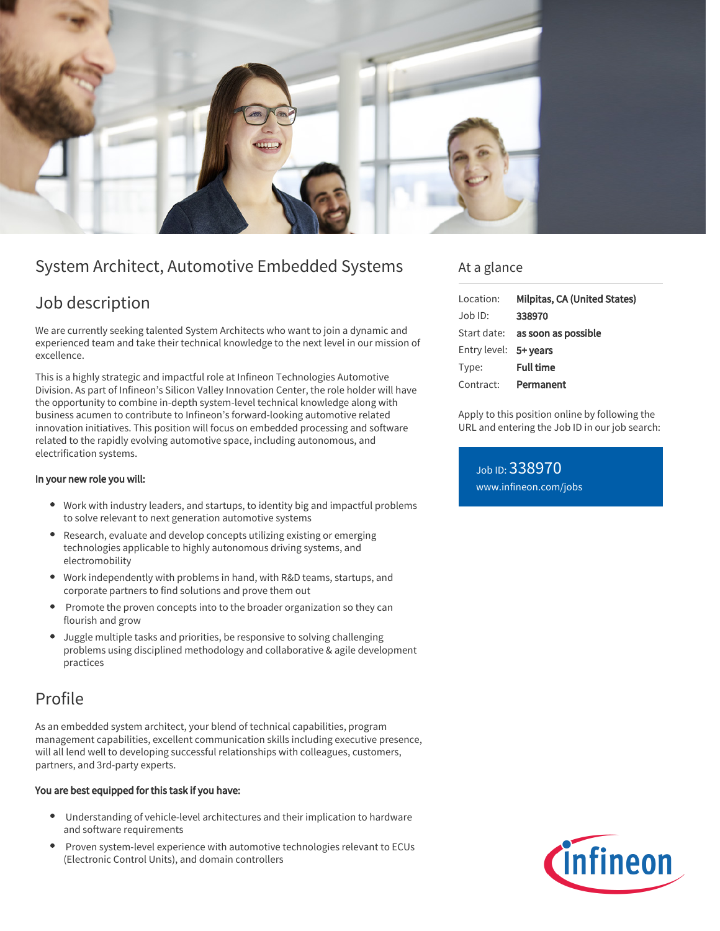

# System Architect, Automotive Embedded Systems

# Job description

We are currently seeking talented System Architects who want to join a dynamic and experienced team and take their technical knowledge to the next level in our mission of excellence.

This is a highly strategic and impactful role at Infineon Technologies Automotive Division. As part of Infineon's Silicon Valley Innovation Center, the role holder will have the opportunity to combine in-depth system-level technical knowledge along with business acumen to contribute to Infineon's forward-looking automotive related innovation initiatives. This position will focus on embedded processing and software related to the rapidly evolving automotive space, including autonomous, and electrification systems.

### In your new role you will:

- Work with industry leaders, and startups, to identity big and impactful problems to solve relevant to next generation automotive systems
- Research, evaluate and develop concepts utilizing existing or emerging technologies applicable to highly autonomous driving systems, and electromobility
- Work independently with problems in hand, with R&D teams, startups, and corporate partners to find solutions and prove them out
- Promote the proven concepts into to the broader organization so they can flourish and grow
- Juggle multiple tasks and priorities, be responsive to solving challenging problems using disciplined methodology and collaborative & agile development practices

# Profile

As an embedded system architect, your blend of technical capabilities, program management capabilities, excellent communication skills including executive presence, will all lend well to developing successful relationships with colleagues, customers, partners, and 3rd-party experts.

### You are best equipped for this task if you have:

- Understanding of vehicle-level architectures and their implication to hardware and software requirements
- Proven system-level experience with automotive technologies relevant to ECUs (Electronic Control Units), and domain controllers

### At a glance

| Milpitas, CA (United States)           |
|----------------------------------------|
| 338970                                 |
| Start date: <b>as soon as possible</b> |
| Entry level: 5+ years                  |
| <b>Full time</b>                       |
| Permanent<br>Contract:                 |
|                                        |

Apply to this position online by following the URL and entering the Job ID in our job search:

Job ID: 338970 [www.infineon.com/jobs](https://www.infineon.com/jobs)

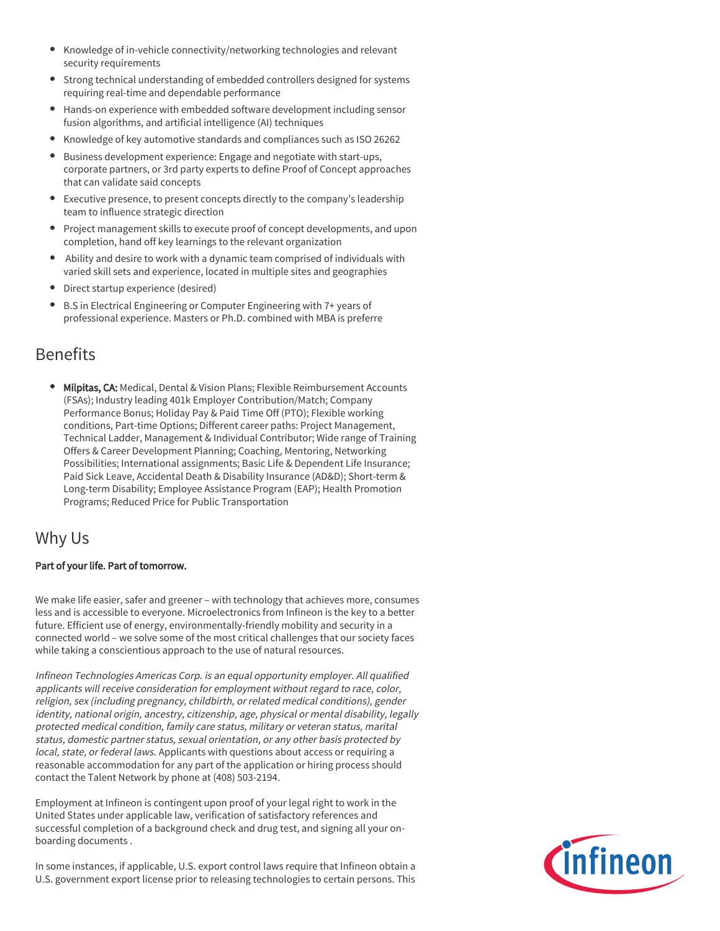- Knowledge of in-vehicle connectivity/networking technologies and relevant security requirements
- Strong technical understanding of embedded controllers designed for systems requiring real-time and dependable performance
- Hands-on experience with embedded software development including sensor fusion algorithms, and artificial intelligence (AI) techniques
- Knowledge of key automotive standards and compliances such as ISO 26262  $\bullet$
- Business development experience: Engage and negotiate with start-ups, corporate partners, or 3rd party experts to define Proof of Concept approaches that can validate said concepts
- Executive presence, to present concepts directly to the company's leadership team to influence strategic direction
- Project management skills to execute proof of concept developments, and upon completion, hand off key learnings to the relevant organization
- Ability and desire to work with a dynamic team comprised of individuals with varied skill sets and experience, located in multiple sites and geographies
- Direct startup experience (desired)
- B.S in Electrical Engineering or Computer Engineering with 7+ years of professional experience. Masters or Ph.D. combined with MBA is preferre

### Benefits

**Milpitas, CA: Medical, Dental & Vision Plans; Flexible Reimbursement Accounts** (FSAs); Industry leading 401k Employer Contribution/Match; Company Performance Bonus; Holiday Pay & Paid Time Off (PTO); Flexible working conditions, Part-time Options; Different career paths: Project Management, Technical Ladder, Management & Individual Contributor; Wide range of Training Offers & Career Development Planning; Coaching, Mentoring, Networking Possibilities; International assignments; Basic Life & Dependent Life Insurance; Paid Sick Leave, Accidental Death & Disability Insurance (AD&D); Short-term & Long-term Disability; Employee Assistance Program (EAP); Health Promotion Programs; Reduced Price for Public Transportation

## Why Us

### Part of your life. Part of tomorrow.

We make life easier, safer and greener – with technology that achieves more, consumes less and is accessible to everyone. Microelectronics from Infineon is the key to a better future. Efficient use of energy, environmentally-friendly mobility and security in a connected world – we solve some of the most critical challenges that our society faces while taking a conscientious approach to the use of natural resources.

Infineon Technologies Americas Corp. is an equal opportunity employer. All qualified applicants will receive consideration for employment without regard to race, color, religion, sex (including pregnancy, childbirth, or related medical conditions), gender identity, national origin, ancestry, citizenship, age, physical or mental disability, legally protected medical condition, family care status, military or veteran status, marital status, domestic partner status, sexual orientation, or any other basis protected by local, state, or federal laws. Applicants with questions about access or requiring a reasonable accommodation for any part of the application or hiring process should contact the Talent Network by phone at (408) 503-2194.

Employment at Infineon is contingent upon proof of your legal right to work in the United States under applicable law, verification of satisfactory references and successful completion of a background check and drug test, and signing all your onboarding documents .

In some instances, if applicable, U.S. export control laws require that Infineon obtain a U.S. government export license prior to releasing technologies to certain persons. This